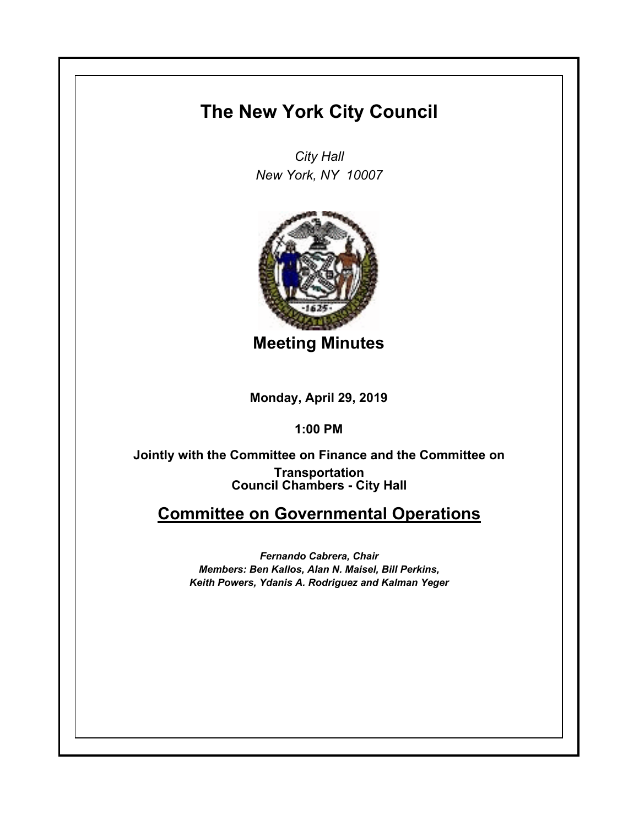## **The New York City Council**

*City Hall New York, NY 10007*



**Meeting Minutes**

**Monday, April 29, 2019**

**1:00 PM**

**Council Chambers - City Hall Jointly with the Committee on Finance and the Committee on Transportation**

## **Committee on Governmental Operations**

*Fernando Cabrera, Chair Members: Ben Kallos, Alan N. Maisel, Bill Perkins, Keith Powers, Ydanis A. Rodriguez and Kalman Yeger*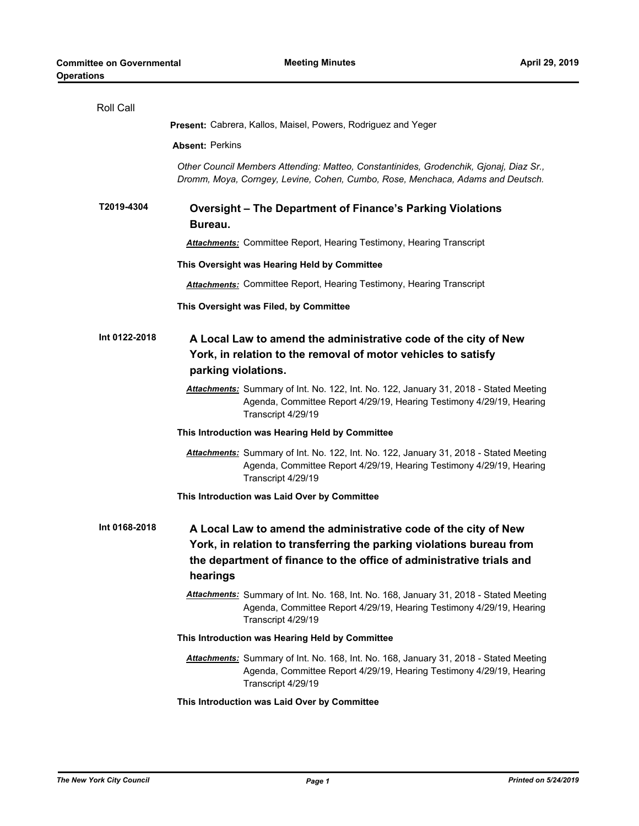| Roll Call     |                                                                                                                                                                                                                             |
|---------------|-----------------------------------------------------------------------------------------------------------------------------------------------------------------------------------------------------------------------------|
|               | Present: Cabrera, Kallos, Maisel, Powers, Rodriguez and Yeger                                                                                                                                                               |
|               | <b>Absent: Perkins</b>                                                                                                                                                                                                      |
|               | Other Council Members Attending: Matteo, Constantinides, Grodenchik, Gjonaj, Diaz Sr.,<br>Dromm, Moya, Corngey, Levine, Cohen, Cumbo, Rose, Menchaca, Adams and Deutsch.                                                    |
| T2019-4304    | <b>Oversight - The Department of Finance's Parking Violations</b><br>Bureau.                                                                                                                                                |
|               | <b>Attachments:</b> Committee Report, Hearing Testimony, Hearing Transcript                                                                                                                                                 |
|               | This Oversight was Hearing Held by Committee                                                                                                                                                                                |
|               | <b>Attachments:</b> Committee Report, Hearing Testimony, Hearing Transcript                                                                                                                                                 |
|               | This Oversight was Filed, by Committee                                                                                                                                                                                      |
| Int 0122-2018 | A Local Law to amend the administrative code of the city of New<br>York, in relation to the removal of motor vehicles to satisfy<br>parking violations.                                                                     |
|               | Attachments: Summary of Int. No. 122, Int. No. 122, January 31, 2018 - Stated Meeting<br>Agenda, Committee Report 4/29/19, Hearing Testimony 4/29/19, Hearing<br>Transcript 4/29/19                                         |
|               | This Introduction was Hearing Held by Committee                                                                                                                                                                             |
|               | Attachments: Summary of Int. No. 122, Int. No. 122, January 31, 2018 - Stated Meeting<br>Agenda, Committee Report 4/29/19, Hearing Testimony 4/29/19, Hearing<br>Transcript 4/29/19                                         |
|               | This Introduction was Laid Over by Committee                                                                                                                                                                                |
| Int 0168-2018 | A Local Law to amend the administrative code of the city of New<br>York, in relation to transferring the parking violations bureau from<br>the department of finance to the office of administrative trials and<br>hearings |
|               | Attachments: Summary of Int. No. 168, Int. No. 168, January 31, 2018 - Stated Meeting<br>Agenda, Committee Report 4/29/19, Hearing Testimony 4/29/19, Hearing<br>Transcript 4/29/19                                         |
|               | This Introduction was Hearing Held by Committee                                                                                                                                                                             |
|               | Attachments: Summary of Int. No. 168, Int. No. 168, January 31, 2018 - Stated Meeting<br>Agenda, Committee Report 4/29/19, Hearing Testimony 4/29/19, Hearing<br>Transcript 4/29/19                                         |
|               | This Introduction was Laid Over by Committee                                                                                                                                                                                |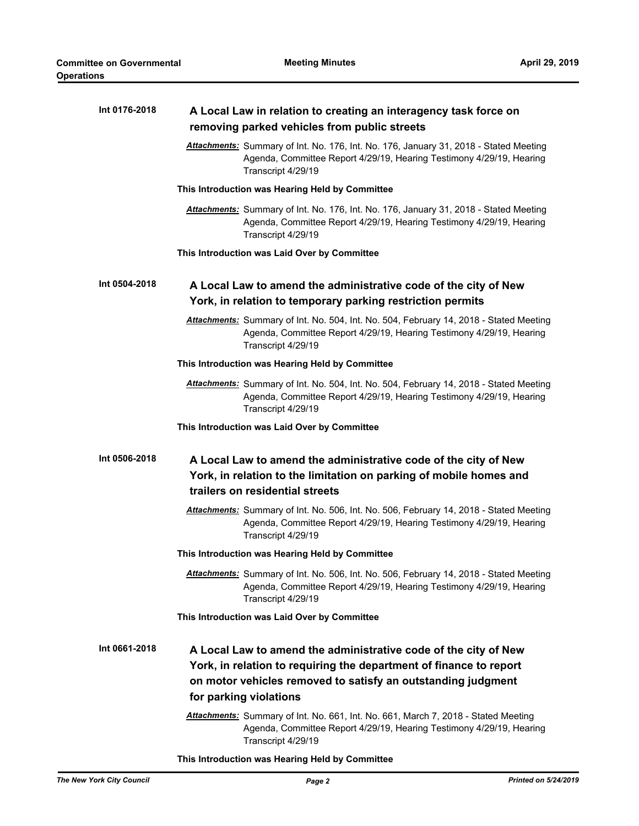| Int 0176-2018 | A Local Law in relation to creating an interagency task force on<br>removing parked vehicles from public streets                                                                                                                |
|---------------|---------------------------------------------------------------------------------------------------------------------------------------------------------------------------------------------------------------------------------|
|               | Attachments: Summary of Int. No. 176, Int. No. 176, January 31, 2018 - Stated Meeting<br>Agenda, Committee Report 4/29/19, Hearing Testimony 4/29/19, Hearing<br>Transcript 4/29/19                                             |
|               | This Introduction was Hearing Held by Committee                                                                                                                                                                                 |
|               | Attachments: Summary of Int. No. 176, Int. No. 176, January 31, 2018 - Stated Meeting<br>Agenda, Committee Report 4/29/19, Hearing Testimony 4/29/19, Hearing<br>Transcript 4/29/19                                             |
|               | This Introduction was Laid Over by Committee                                                                                                                                                                                    |
| Int 0504-2018 | A Local Law to amend the administrative code of the city of New<br>York, in relation to temporary parking restriction permits                                                                                                   |
|               | Attachments: Summary of Int. No. 504, Int. No. 504, February 14, 2018 - Stated Meeting<br>Agenda, Committee Report 4/29/19, Hearing Testimony 4/29/19, Hearing<br>Transcript 4/29/19                                            |
|               | This Introduction was Hearing Held by Committee                                                                                                                                                                                 |
|               | Attachments: Summary of Int. No. 504, Int. No. 504, February 14, 2018 - Stated Meeting<br>Agenda, Committee Report 4/29/19, Hearing Testimony 4/29/19, Hearing<br>Transcript 4/29/19                                            |
|               | This Introduction was Laid Over by Committee                                                                                                                                                                                    |
| Int 0506-2018 | A Local Law to amend the administrative code of the city of New<br>York, in relation to the limitation on parking of mobile homes and<br>trailers on residential streets                                                        |
|               | Attachments: Summary of Int. No. 506, Int. No. 506, February 14, 2018 - Stated Meeting<br>Agenda, Committee Report 4/29/19, Hearing Testimony 4/29/19, Hearing<br>Transcript 4/29/19                                            |
|               | This Introduction was Hearing Held by Committee                                                                                                                                                                                 |
|               | Attachments: Summary of Int. No. 506, Int. No. 506, February 14, 2018 - Stated Meeting<br>Agenda, Committee Report 4/29/19, Hearing Testimony 4/29/19, Hearing<br>Transcript 4/29/19                                            |
|               | This Introduction was Laid Over by Committee                                                                                                                                                                                    |
| Int 0661-2018 | A Local Law to amend the administrative code of the city of New<br>York, in relation to requiring the department of finance to report<br>on motor vehicles removed to satisfy an outstanding judgment<br>for parking violations |
|               | Attachments: Summary of Int. No. 661, Int. No. 661, March 7, 2018 - Stated Meeting<br>Agenda, Committee Report 4/29/19, Hearing Testimony 4/29/19, Hearing<br>Transcript 4/29/19                                                |

**This Introduction was Hearing Held by Committee**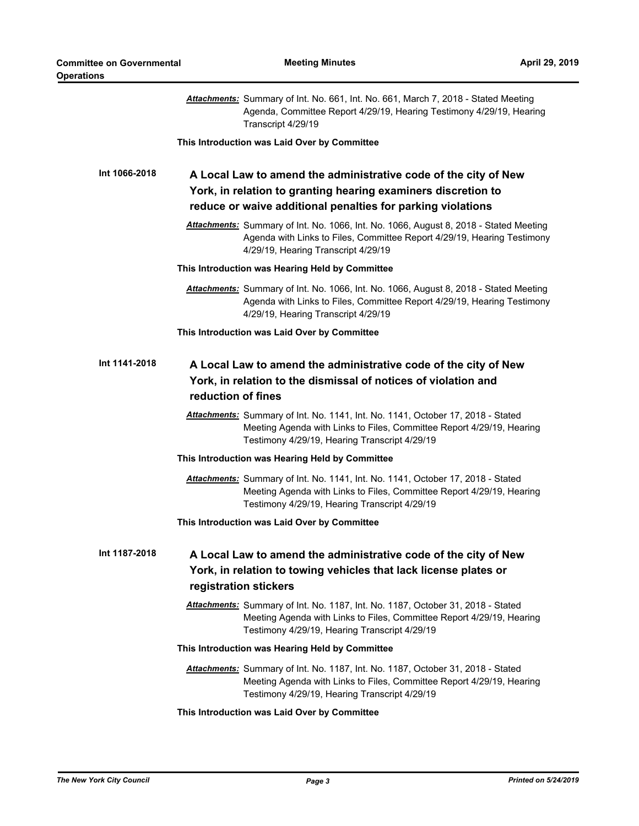|               | Attachments: Summary of Int. No. 661, Int. No. 661, March 7, 2018 - Stated Meeting<br>Agenda, Committee Report 4/29/19, Hearing Testimony 4/29/19, Hearing<br>Transcript 4/29/19                          |
|---------------|-----------------------------------------------------------------------------------------------------------------------------------------------------------------------------------------------------------|
|               | This Introduction was Laid Over by Committee                                                                                                                                                              |
| Int 1066-2018 | A Local Law to amend the administrative code of the city of New<br>York, in relation to granting hearing examiners discretion to<br>reduce or waive additional penalties for parking violations           |
|               | Attachments: Summary of Int. No. 1066, Int. No. 1066, August 8, 2018 - Stated Meeting<br>Agenda with Links to Files, Committee Report 4/29/19, Hearing Testimony<br>4/29/19, Hearing Transcript 4/29/19   |
|               | This Introduction was Hearing Held by Committee                                                                                                                                                           |
|               | Attachments: Summary of Int. No. 1066, Int. No. 1066, August 8, 2018 - Stated Meeting<br>Agenda with Links to Files, Committee Report 4/29/19, Hearing Testimony<br>4/29/19, Hearing Transcript 4/29/19   |
|               | This Introduction was Laid Over by Committee                                                                                                                                                              |
| Int 1141-2018 | A Local Law to amend the administrative code of the city of New<br>York, in relation to the dismissal of notices of violation and<br>reduction of fines                                                   |
|               | Attachments: Summary of Int. No. 1141, Int. No. 1141, October 17, 2018 - Stated<br>Meeting Agenda with Links to Files, Committee Report 4/29/19, Hearing<br>Testimony 4/29/19, Hearing Transcript 4/29/19 |
|               | This Introduction was Hearing Held by Committee                                                                                                                                                           |
|               | Attachments: Summary of Int. No. 1141, Int. No. 1141, October 17, 2018 - Stated<br>Meeting Agenda with Links to Files, Committee Report 4/29/19, Hearing<br>Testimony 4/29/19, Hearing Transcript 4/29/19 |
|               | This Introduction was Laid Over by Committee                                                                                                                                                              |
| Int 1187-2018 | A Local Law to amend the administrative code of the city of New<br>York, in relation to towing vehicles that lack license plates or<br>registration stickers                                              |
|               | Attachments: Summary of Int. No. 1187, Int. No. 1187, October 31, 2018 - Stated<br>Meeting Agenda with Links to Files, Committee Report 4/29/19, Hearing<br>Testimony 4/29/19, Hearing Transcript 4/29/19 |
|               | This Introduction was Hearing Held by Committee                                                                                                                                                           |
|               | Attachments: Summary of Int. No. 1187, Int. No. 1187, October 31, 2018 - Stated<br>Meeting Agenda with Links to Files, Committee Report 4/29/19, Hearing<br>Testimony 4/29/19, Hearing Transcript 4/29/19 |
|               | This Introduction was Laid Over by Committee                                                                                                                                                              |